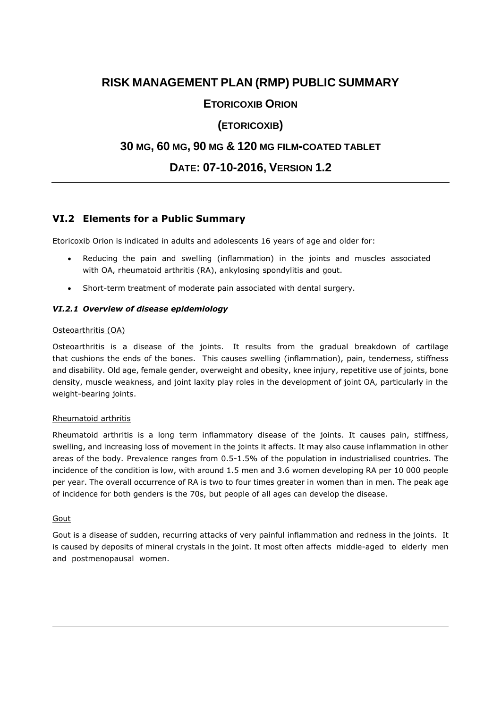# **RISK MANAGEMENT PLAN (RMP) PUBLIC SUMMARY**

## **ETORICOXIB ORION**

## **(ETORICOXIB)**

## **30 MG, 60 MG, 90 MG & 120 MG FILM-COATED TABLET**

# **DATE: 07-10-2016, VERSION 1.2**

### **VI.2 Elements for a Public Summary**

Etoricoxib Orion is indicated in adults and adolescents 16 years of age and older for:

- Reducing the pain and swelling (inflammation) in the joints and muscles associated with OA, rheumatoid arthritis (RA), ankylosing spondylitis and gout.
- Short-term treatment of moderate pain associated with dental surgery.

### *VI.2.1 Overview of disease epidemiology*

#### Osteoarthritis (OA)

Osteoarthritis is a disease of the joints. It results from the gradual breakdown of cartilage that cushions the ends of the bones. This causes swelling (inflammation), pain, tenderness, stiffness and disability. Old age, female gender, overweight and obesity, knee injury, repetitive use of joints, bone density, muscle weakness, and joint laxity play roles in the development of joint OA, particularly in the weight-bearing joints.

#### Rheumatoid arthritis

Rheumatoid arthritis is a long term inflammatory disease of the joints. It causes pain, stiffness, swelling, and increasing loss of movement in the joints it affects. It may also cause inflammation in other areas of the body. Prevalence ranges from 0.5-1.5% of the population in industrialised countries. The incidence of the condition is low, with around 1.5 men and 3.6 women developing RA per 10 000 people per year. The overall occurrence of RA is two to four times greater in women than in men. The peak age of incidence for both genders is the 70s, but people of all ages can develop the disease.

#### **Gout**

Gout is a disease of sudden, recurring attacks of very painful inflammation and redness in the joints. It is caused by deposits of mineral crystals in the joint. It most often affects middle-aged to elderly men and postmenopausal women.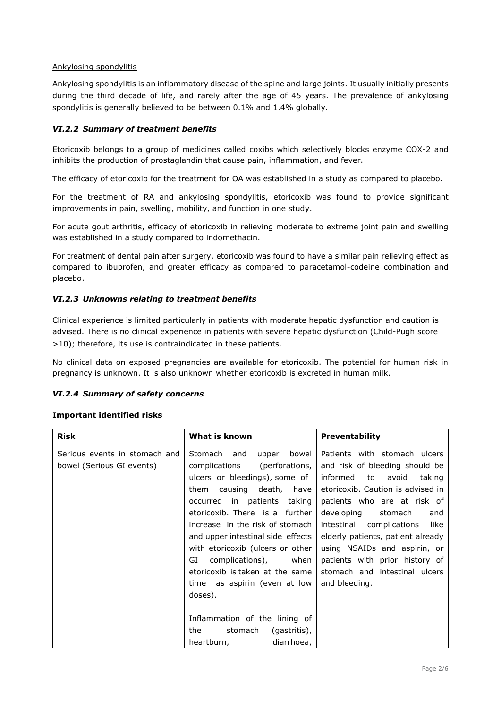#### Ankylosing spondylitis

Ankylosing spondylitis is an inflammatory disease of the spine and large joints. It usually initially presents during the third decade of life, and rarely after the age of 45 years. The prevalence of ankylosing spondylitis is generally believed to be between 0.1% and 1.4% globally.

#### *VI.2.2 Summary of treatment benefits*

Etoricoxib belongs to a group of medicines called coxibs which selectively blocks enzyme COX-2 and inhibits the production of prostaglandin that cause pain, inflammation, and fever.

The efficacy of etoricoxib for the treatment for OA was established in a study as compared to placebo.

For the treatment of RA and ankylosing spondylitis, etoricoxib was found to provide significant improvements in pain, swelling, mobility, and function in one study.

For acute gout arthritis, efficacy of etoricoxib in relieving moderate to extreme joint pain and swelling was established in a study compared to indomethacin.

For treatment of dental pain after surgery, etoricoxib was found to have a similar pain relieving effect as compared to ibuprofen, and greater efficacy as compared to paracetamol-codeine combination and placebo.

#### *VI.2.3 Unknowns relating to treatment benefits*

Clinical experience is limited particularly in patients with moderate hepatic dysfunction and caution is advised. There is no clinical experience in patients with severe hepatic dysfunction (Child-Pugh score >10); therefore, its use is contraindicated in these patients.

No clinical data on exposed pregnancies are available for etoricoxib. The potential for human risk in pregnancy is unknown. It is also unknown whether etoricoxib is excreted in human milk.

#### *VI.2.4 Summary of safety concerns*

#### **Important identified risks**

| <b>Risk</b>                                                | What is known                                                                                                                                                                                                                                                                                                                                                                                                                                                                             | <b>Preventability</b>                                                                                                                                                                                                                                                                                                                                                                             |
|------------------------------------------------------------|-------------------------------------------------------------------------------------------------------------------------------------------------------------------------------------------------------------------------------------------------------------------------------------------------------------------------------------------------------------------------------------------------------------------------------------------------------------------------------------------|---------------------------------------------------------------------------------------------------------------------------------------------------------------------------------------------------------------------------------------------------------------------------------------------------------------------------------------------------------------------------------------------------|
| Serious events in stomach and<br>bowel (Serious GI events) | Stomach and<br>bowel<br>upper<br>complications<br>(perforations,<br>ulcers or bleedings), some of<br>them causing death, have<br>occurred in patients taking<br>etoricoxib. There is a further<br>increase in the risk of stomach<br>and upper intestinal side effects<br>with etoricoxib (ulcers or other<br>GI<br>complications), when<br>etoricoxib is taken at the same<br>time as aspirin (even at low<br>doses).<br>Inflammation of the lining of<br>the<br>stomach<br>(gastritis), | Patients with stomach ulcers<br>and risk of bleeding should be<br>informed to<br>avoid<br>taking<br>etoricoxib. Caution is advised in<br>patients who are at risk of<br>developing<br>stomach<br>and<br>like<br>intestinal complications<br>elderly patients, patient already<br>using NSAIDs and aspirin, or<br>patients with prior history of<br>stomach and intestinal ulcers<br>and bleeding. |
|                                                            | heartburn,<br>diarrhoea,                                                                                                                                                                                                                                                                                                                                                                                                                                                                  |                                                                                                                                                                                                                                                                                                                                                                                                   |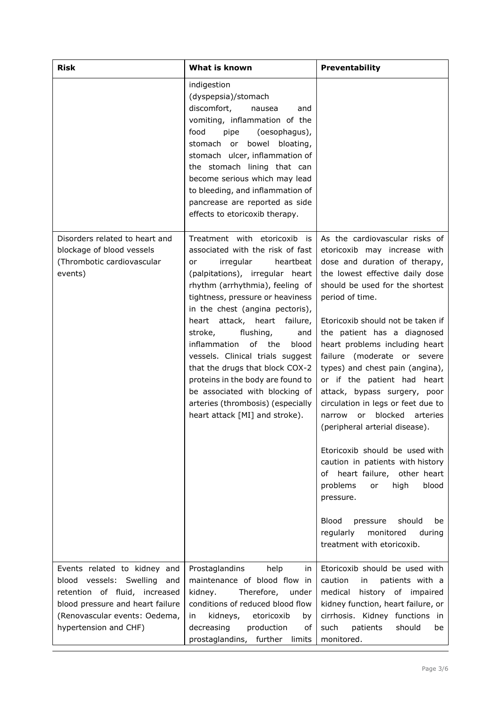| <b>Risk</b>                                                                                                                                                                                   | What is known                                                                                                                                                                                                                                                                                                                                                                                                                                                                                                                                                        | Preventability                                                                                                                                                                                                                                                                                                                                                                                                                                                                                                                                                                                                                                                                                                                                                                                                      |
|-----------------------------------------------------------------------------------------------------------------------------------------------------------------------------------------------|----------------------------------------------------------------------------------------------------------------------------------------------------------------------------------------------------------------------------------------------------------------------------------------------------------------------------------------------------------------------------------------------------------------------------------------------------------------------------------------------------------------------------------------------------------------------|---------------------------------------------------------------------------------------------------------------------------------------------------------------------------------------------------------------------------------------------------------------------------------------------------------------------------------------------------------------------------------------------------------------------------------------------------------------------------------------------------------------------------------------------------------------------------------------------------------------------------------------------------------------------------------------------------------------------------------------------------------------------------------------------------------------------|
|                                                                                                                                                                                               | indigestion<br>(dyspepsia)/stomach<br>discomfort,<br>nausea<br>and<br>vomiting, inflammation of the<br>food<br>(oesophagus),<br>pipe<br>bowel bloating,<br>stomach or<br>stomach ulcer, inflammation of<br>the stomach lining that can<br>become serious which may lead<br>to bleeding, and inflammation of<br>pancrease are reported as side<br>effects to etoricoxib therapy.                                                                                                                                                                                      |                                                                                                                                                                                                                                                                                                                                                                                                                                                                                                                                                                                                                                                                                                                                                                                                                     |
| Disorders related to heart and<br>blockage of blood vessels<br>(Thrombotic cardiovascular<br>events)                                                                                          | Treatment with etoricoxib is<br>associated with the risk of fast<br>irregular<br>heartbeat<br>or<br>(palpitations), irregular heart<br>rhythm (arrhythmia), feeling of<br>tightness, pressure or heaviness<br>in the chest (angina pectoris),<br>heart attack, heart failure,<br>stroke,<br>flushing,<br>and<br>inflammation<br>of the<br>blood<br>vessels. Clinical trials suggest<br>that the drugs that block COX-2<br>proteins in the body are found to<br>be associated with blocking of<br>arteries (thrombosis) (especially<br>heart attack [MI] and stroke). | As the cardiovascular risks of<br>etoricoxib may increase with<br>dose and duration of therapy,<br>the lowest effective daily dose<br>should be used for the shortest<br>period of time.<br>Etoricoxib should not be taken if<br>the patient has a diagnosed<br>heart problems including heart<br>failure (moderate or severe<br>types) and chest pain (angina),<br>or if the patient had heart<br>attack, bypass surgery, poor<br>circulation in legs or feet due to<br>blocked<br>arteries<br>narrow<br>or<br>(peripheral arterial disease).<br>Etoricoxib should be used with<br>caution in patients with history<br>of heart failure, other heart<br>problems<br>high<br>blood<br>or<br>pressure.<br><b>Blood</b><br>should<br>pressure<br>be<br>monitored<br>regularly<br>during<br>treatment with etoricoxib. |
| Events related to kidney and<br>blood vessels: Swelling<br>and<br>retention of fluid, increased<br>blood pressure and heart failure<br>(Renovascular events: Oedema,<br>hypertension and CHF) | Prostaglandins<br>help<br>in<br>maintenance of blood flow in<br>kidney.<br>Therefore,<br>under<br>conditions of reduced blood flow<br>kidneys,<br>etoricoxib<br>in.<br>by<br>decreasing<br>production<br>of<br>prostaglandins,<br>further<br>limits                                                                                                                                                                                                                                                                                                                  | Etoricoxib should be used with<br>caution<br>patients with a<br>in<br>medical<br>history of impaired<br>kidney function, heart failure, or<br>cirrhosis. Kidney functions<br>in<br>such<br>patients<br>should<br>be<br>monitored.                                                                                                                                                                                                                                                                                                                                                                                                                                                                                                                                                                                   |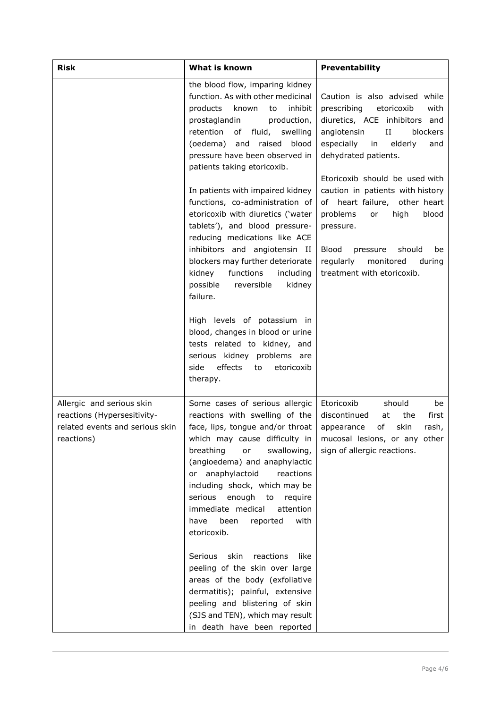| <b>Risk</b>                                                                                               | What is known                                                                                                                                                                                                                                                                                                                                                                                      | Preventability                                                                                                                                                                                                               |
|-----------------------------------------------------------------------------------------------------------|----------------------------------------------------------------------------------------------------------------------------------------------------------------------------------------------------------------------------------------------------------------------------------------------------------------------------------------------------------------------------------------------------|------------------------------------------------------------------------------------------------------------------------------------------------------------------------------------------------------------------------------|
|                                                                                                           | the blood flow, imparing kidney<br>function. As with other medicinal<br>known<br>inhibit<br>products<br>to<br>prostaglandin<br>production,<br>retention<br>of fluid,<br>swelling<br>raised<br>(oedema) and<br>blood<br>pressure have been observed in<br>patients taking etoricoxib.                                                                                                               | Caution is also advised while<br>prescribing<br>etoricoxib<br>with<br>diuretics, ACE inhibitors and<br>angiotensin<br>$_{\rm II}$<br>blockers<br>especially<br>elderly<br>in<br>and<br>dehydrated patients.                  |
|                                                                                                           | In patients with impaired kidney<br>functions, co-administration of<br>etoricoxib with diuretics ('water<br>tablets'), and blood pressure-<br>reducing medications like ACE<br>inhibitors and angiotensin II<br>blockers may further deteriorate                                                                                                                                                   | Etoricoxib should be used with<br>caution in patients with history<br>of heart failure, other heart<br>problems<br>high<br>blood<br>or<br>pressure.<br>Blood<br>should<br>pressure<br>be<br>regularly<br>monitored<br>during |
|                                                                                                           | functions<br>kidney<br>including<br>possible<br>reversible<br>kidney<br>failure.                                                                                                                                                                                                                                                                                                                   | treatment with etoricoxib.                                                                                                                                                                                                   |
|                                                                                                           | High levels of potassium in<br>blood, changes in blood or urine<br>tests related to kidney, and<br>serious kidney problems are<br>effects<br>side<br>to<br>etoricoxib<br>therapy.                                                                                                                                                                                                                  |                                                                                                                                                                                                                              |
| Allergic and serious skin<br>reactions (Hypersesitivity-<br>related events and serious skin<br>reactions) | Some cases of serious allergic<br>reactions with swelling of the<br>face, lips, tongue and/or throat<br>which may cause difficulty in<br>breathing<br>swallowing,<br>or<br>(angioedema) and anaphylactic<br>or anaphylactoid<br>reactions<br>including shock, which may be<br>enough to<br>serious<br>require<br>immediate medical<br>attention<br>been<br>with<br>have<br>reported<br>etoricoxib. | Etoricoxib<br>should<br>be<br>discontinued<br>first<br>at<br>the<br>of<br>skin<br>appearance<br>rash,<br>mucosal lesions, or any other<br>sign of allergic reactions.                                                        |
|                                                                                                           | skin<br>reactions<br>Serious<br>like<br>peeling of the skin over large<br>areas of the body (exfoliative<br>dermatitis); painful, extensive<br>peeling and blistering of skin<br>(SJS and TEN), which may result<br>in death have been reported                                                                                                                                                    |                                                                                                                                                                                                                              |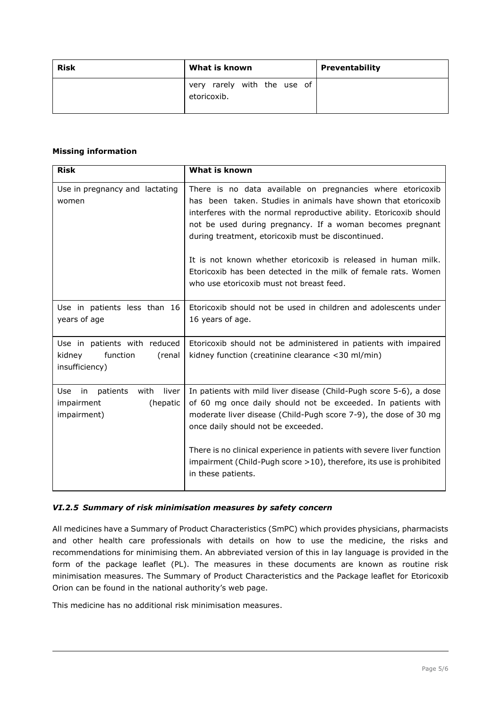| <b>Risk</b> | What is known                              | Preventability |
|-------------|--------------------------------------------|----------------|
|             | very rarely with the use of<br>etoricoxib. |                |

#### **Missing information**

| <b>Risk</b>                                                                        | What is known                                                                                                                                                                                                                                                                                                                                                                                                                                                                                       |
|------------------------------------------------------------------------------------|-----------------------------------------------------------------------------------------------------------------------------------------------------------------------------------------------------------------------------------------------------------------------------------------------------------------------------------------------------------------------------------------------------------------------------------------------------------------------------------------------------|
| Use in pregnancy and lactating<br>women                                            | There is no data available on pregnancies where etoricoxib<br>has been taken. Studies in animals have shown that etoricoxib<br>interferes with the normal reproductive ability. Etoricoxib should<br>not be used during pregnancy. If a woman becomes pregnant<br>during treatment, etoricoxib must be discontinued.<br>It is not known whether etoricoxib is released in human milk.<br>Etoricoxib has been detected in the milk of female rats. Women<br>who use etoricoxib must not breast feed. |
| Use in patients less than 16<br>years of age                                       | Etoricoxib should not be used in children and adolescents under<br>16 years of age.                                                                                                                                                                                                                                                                                                                                                                                                                 |
| Use in patients with reduced<br>function<br>kidney<br>(renal<br>insufficiency)     | Etoricoxib should not be administered in patients with impaired<br>kidney function (creatinine clearance $<$ 30 ml/min)                                                                                                                                                                                                                                                                                                                                                                             |
| Use<br>patients<br>with<br>liver<br>in i<br>impairment<br>(hepatic)<br>impairment) | In patients with mild liver disease (Child-Pugh score 5-6), a dose<br>of 60 mg once daily should not be exceeded. In patients with<br>moderate liver disease (Child-Pugh score 7-9), the dose of 30 mg<br>once daily should not be exceeded.                                                                                                                                                                                                                                                        |
|                                                                                    | There is no clinical experience in patients with severe liver function<br>impairment (Child-Pugh score $>10$ ), therefore, its use is prohibited<br>in these patients.                                                                                                                                                                                                                                                                                                                              |

#### *VI.2.5 Summary of risk minimisation measures by safety concern*

All medicines have a Summary of Product Characteristics (SmPC) which provides physicians, pharmacists and other health care professionals with details on how to use the medicine, the risks and recommendations for minimising them. An abbreviated version of this in lay language is provided in the form of the package leaflet (PL). The measures in these documents are known as routine risk minimisation measures. The Summary of Product Characteristics and the Package leaflet for Etoricoxib Orion can be found in the national authority's web page.

This medicine has no additional risk minimisation measures.